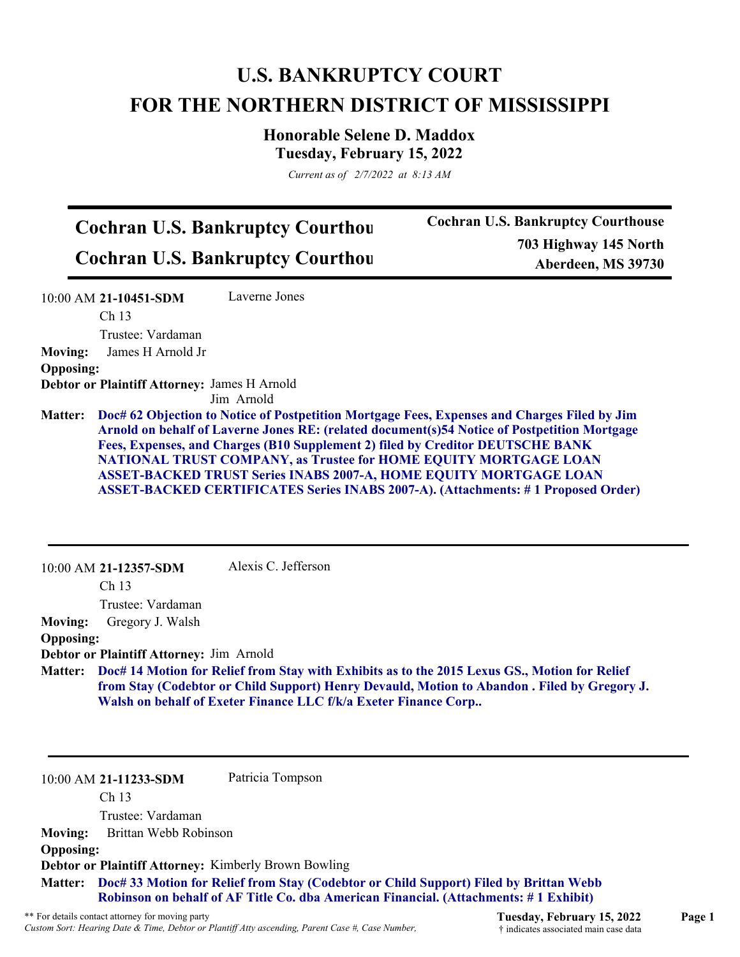# **U.S. BANKRUPTCY COURT FOR THE NORTHERN DISTRICT OF MISSISSIPPI**

**Honorable Selene D. Maddox Tuesday, February 15, 2022**

*Current as of 2/7/2022 at 8:13 AM*

# **Cochran U.S. Bankruptcy Courthou Cochran U.S. Bankruptcy Courthou**

**Cochran U.S. Bankruptcy Courthouse 703 Highway 145 North Aberdeen, MS 39730**

10:00 AM **21-10451-SDM**  Ch 13 Trustee: Vardaman Laverne Jones **Moving:** James H Arnold Jr **Opposing: Debtor or Plaintiff Attorney:** James H Arnold Jim Arnold **Doc# 62 Objection to Notice of Postpetition Mortgage Fees, Expenses and Charges Filed by Jim Matter: Arnold on behalf of Laverne Jones RE: (related document(s)54 Notice of Postpetition Mortgage Fees, Expenses, and Charges (B10 Supplement 2) filed by Creditor DEUTSCHE BANK NATIONAL TRUST COMPANY, as Trustee for HOME EQUITY MORTGAGE LOAN ASSET-BACKED TRUST Series INABS 2007-A, HOME EQUITY MORTGAGE LOAN ASSET-BACKED CERTIFICATES Series INABS 2007-A). (Attachments: # 1 Proposed Order)** 10:00 AM **21-12357-SDM**  Ch 13 Trustee: Vardaman Alexis C. Jefferson **Moving:** Gregory J. Walsh **Opposing: Debtor or Plaintiff Attorney:** Jim Arnold **Doc# 14 Motion for Relief from Stay with Exhibits as to the 2015 Lexus GS., Motion for Relief Matter: from Stay (Codebtor or Child Support) Henry Devauld, Motion to Abandon . Filed by Gregory J. Walsh on behalf of Exeter Finance LLC f/k/a Exeter Finance Corp..**

10:00 AM **21-11233-SDM**  Patricia Tompson

Ch 13

Trustee: Vardaman

**Moving:** Brittan Webb Robinson

#### **Opposing:**

**Debtor or Plaintiff Attorney:** Kimberly Brown Bowling

**Doc# 33 Motion for Relief from Stay (Codebtor or Child Support) Filed by Brittan Webb Matter: Robinson on behalf of AF Title Co. dba American Financial. (Attachments: # 1 Exhibit)**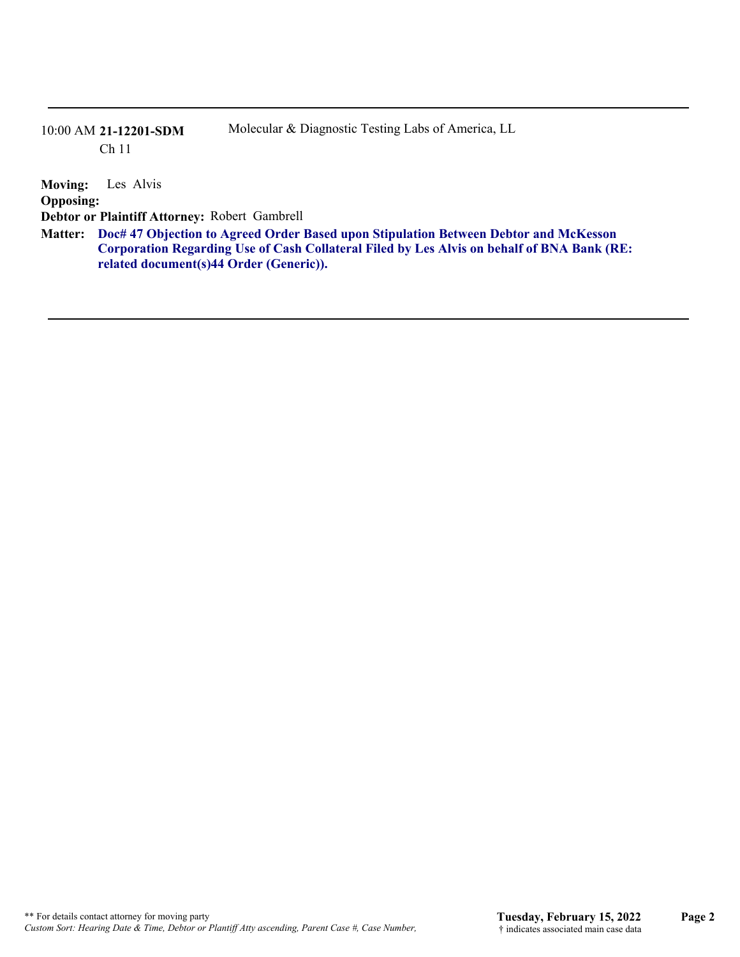## 10:00 AM **21-12201-SDM**  Ch 11

Molecular & Diagnostic Testing Labs of America, LL

**Moving:** Les Alvis **Opposing: Debtor or Plaintiff Attorney:** Robert Gambrell **Doc# 47 Objection to Agreed Order Based upon Stipulation Between Debtor and McKesson Matter: Corporation Regarding Use of Cash Collateral Filed by Les Alvis on behalf of BNA Bank (RE: related document(s)44 Order (Generic)).**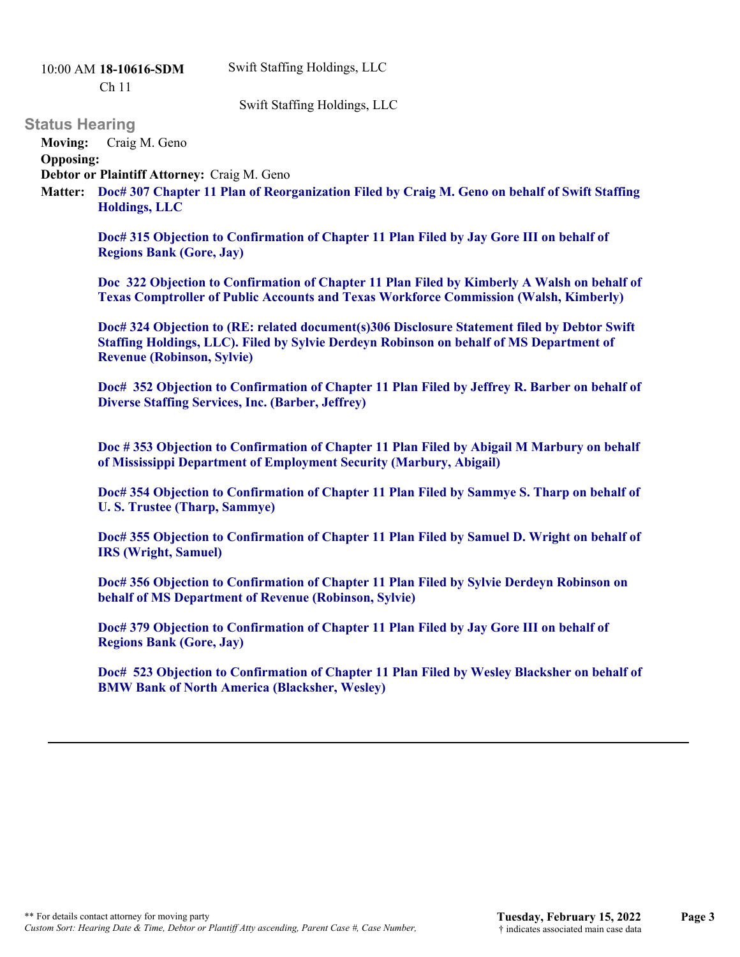Swift Staffing Holdings, LLC

10:00 AM **18-10616-SDM** 

Ch 11

Swift Staffing Holdings, LLC

### **Status Hearing**

**Moving:** Craig M. Geno

**Opposing:**

**Debtor or Plaintiff Attorney:** Craig M. Geno

**Doc# 307 Chapter 11 Plan of Reorganization Filed by Craig M. Geno on behalf of Swift Staffing Matter: Holdings, LLC**

**Doc# 315 Objection to Confirmation of Chapter 11 Plan Filed by Jay Gore III on behalf of Regions Bank (Gore, Jay)**

**Doc 322 Objection to Confirmation of Chapter 11 Plan Filed by Kimberly A Walsh on behalf of Texas Comptroller of Public Accounts and Texas Workforce Commission (Walsh, Kimberly)**

**Doc# 324 Objection to (RE: related document(s)306 Disclosure Statement filed by Debtor Swift Staffing Holdings, LLC). Filed by Sylvie Derdeyn Robinson on behalf of MS Department of Revenue (Robinson, Sylvie)**

**Doc# 352 Objection to Confirmation of Chapter 11 Plan Filed by Jeffrey R. Barber on behalf of Diverse Staffing Services, Inc. (Barber, Jeffrey)**

**Doc # 353 Objection to Confirmation of Chapter 11 Plan Filed by Abigail M Marbury on behalf of Mississippi Department of Employment Security (Marbury, Abigail)**

**Doc# 354 Objection to Confirmation of Chapter 11 Plan Filed by Sammye S. Tharp on behalf of U. S. Trustee (Tharp, Sammye)**

**Doc# 355 Objection to Confirmation of Chapter 11 Plan Filed by Samuel D. Wright on behalf of IRS (Wright, Samuel)**

**Doc# 356 Objection to Confirmation of Chapter 11 Plan Filed by Sylvie Derdeyn Robinson on behalf of MS Department of Revenue (Robinson, Sylvie)**

**Doc# 379 Objection to Confirmation of Chapter 11 Plan Filed by Jay Gore III on behalf of Regions Bank (Gore, Jay)**

**Doc# 523 Objection to Confirmation of Chapter 11 Plan Filed by Wesley Blacksher on behalf of BMW Bank of North America (Blacksher, Wesley)**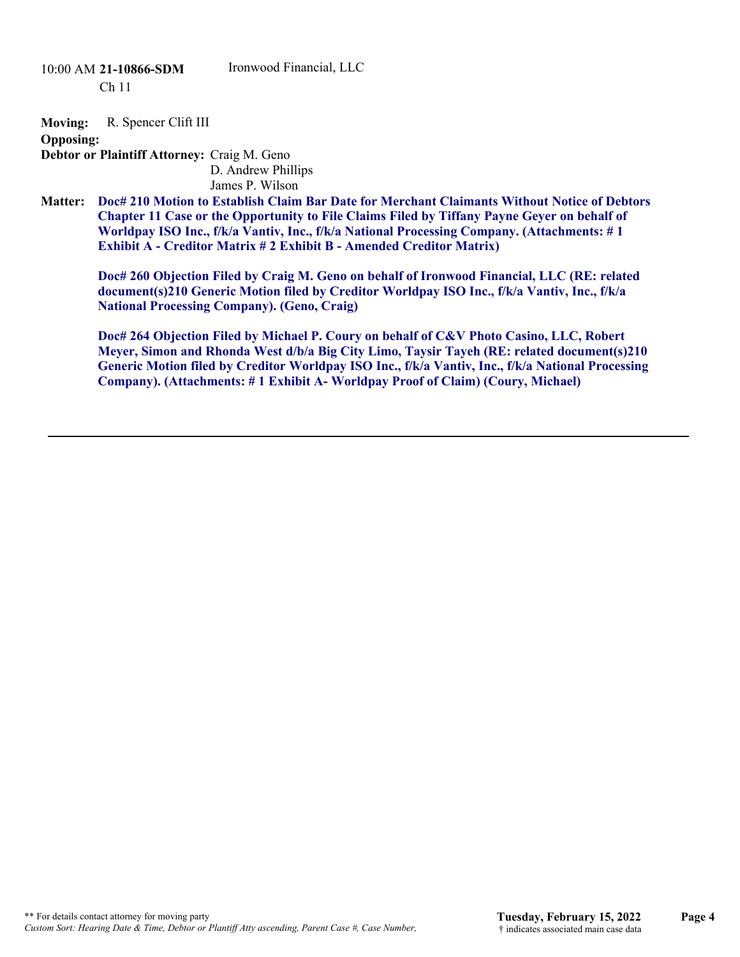**Moving:** R. Spencer Clift III

**Opposing:**

**Debtor or Plaintiff Attorney:** Craig M. Geno D. Andrew Phillips

James P. Wilson

**Doc# 210 Motion to Establish Claim Bar Date for Merchant Claimants Without Notice of Debtors Chapter 11 Case or the Opportunity to File Claims Filed by Tiffany Payne Geyer on behalf of Worldpay ISO Inc., f/k/a Vantiv, Inc., f/k/a National Processing Company. (Attachments: # 1 Exhibit A - Creditor Matrix # 2 Exhibit B - Amended Creditor Matrix) Matter:**

**Doc# 260 Objection Filed by Craig M. Geno on behalf of Ironwood Financial, LLC (RE: related document(s)210 Generic Motion filed by Creditor Worldpay ISO Inc., f/k/a Vantiv, Inc., f/k/a National Processing Company). (Geno, Craig)**

**Doc# 264 Objection Filed by Michael P. Coury on behalf of C&V Photo Casino, LLC, Robert Meyer, Simon and Rhonda West d/b/a Big City Limo, Taysir Tayeh (RE: related document(s)210 Generic Motion filed by Creditor Worldpay ISO Inc., f/k/a Vantiv, Inc., f/k/a National Processing Company). (Attachments: # 1 Exhibit A- Worldpay Proof of Claim) (Coury, Michael)**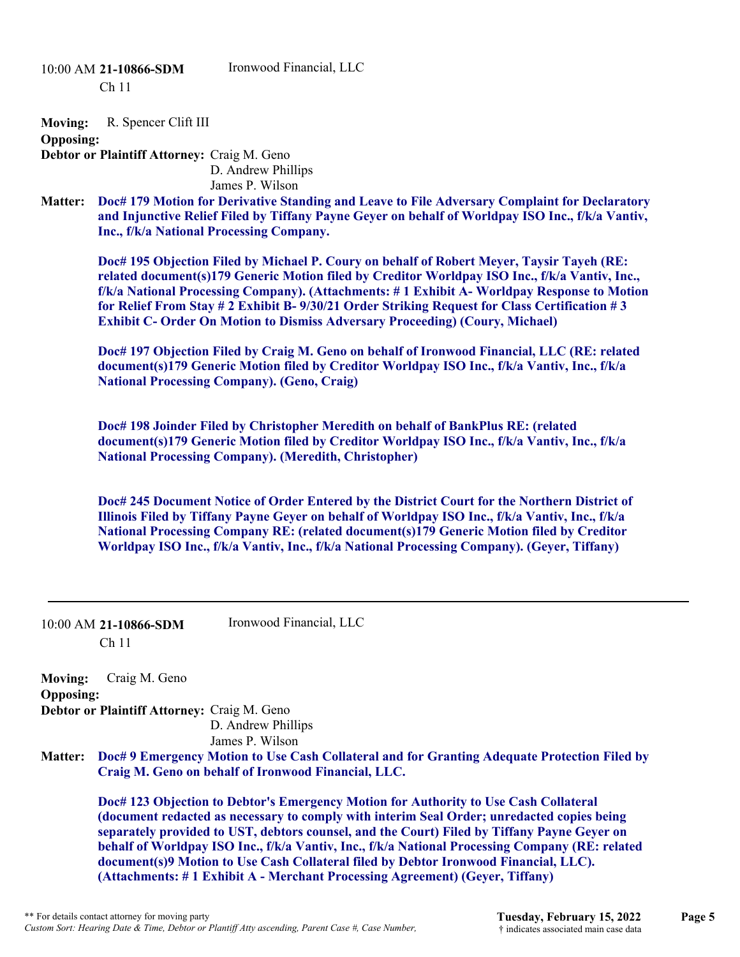10:00 AM **21-10866-SDM** 

Ironwood Financial, LLC

Ch 11

**Moving:** R. Spencer Clift III

**Opposing:**

**Debtor or Plaintiff Attorney:** Craig M. Geno D. Andrew Phillips James P. Wilson

**Doc# 179 Motion for Derivative Standing and Leave to File Adversary Complaint for Declaratory and Injunctive Relief Filed by Tiffany Payne Geyer on behalf of Worldpay ISO Inc., f/k/a Vantiv, Inc., f/k/a National Processing Company. Matter:**

**Doc# 195 Objection Filed by Michael P. Coury on behalf of Robert Meyer, Taysir Tayeh (RE: related document(s)179 Generic Motion filed by Creditor Worldpay ISO Inc., f/k/a Vantiv, Inc., f/k/a National Processing Company). (Attachments: # 1 Exhibit A- Worldpay Response to Motion for Relief From Stay # 2 Exhibit B- 9/30/21 Order Striking Request for Class Certification # 3 Exhibit C- Order On Motion to Dismiss Adversary Proceeding) (Coury, Michael)**

**Doc# 197 Objection Filed by Craig M. Geno on behalf of Ironwood Financial, LLC (RE: related document(s)179 Generic Motion filed by Creditor Worldpay ISO Inc., f/k/a Vantiv, Inc., f/k/a National Processing Company). (Geno, Craig)**

**Doc# 198 Joinder Filed by Christopher Meredith on behalf of BankPlus RE: (related document(s)179 Generic Motion filed by Creditor Worldpay ISO Inc., f/k/a Vantiv, Inc., f/k/a National Processing Company). (Meredith, Christopher)**

**Doc# 245 Document Notice of Order Entered by the District Court for the Northern District of Illinois Filed by Tiffany Payne Geyer on behalf of Worldpay ISO Inc., f/k/a Vantiv, Inc., f/k/a National Processing Company RE: (related document(s)179 Generic Motion filed by Creditor Worldpay ISO Inc., f/k/a Vantiv, Inc., f/k/a National Processing Company). (Geyer, Tiffany)**

|                                    | Ironwood Financial, LLC<br>$10:00$ AM 21-10866-SDM<br>Ch <sub>11</sub>                                                                                                                                                                                                                                                                                                                                                                                                                                                                                       |
|------------------------------------|--------------------------------------------------------------------------------------------------------------------------------------------------------------------------------------------------------------------------------------------------------------------------------------------------------------------------------------------------------------------------------------------------------------------------------------------------------------------------------------------------------------------------------------------------------------|
| <b>Moving:</b><br><b>Opposing:</b> | Craig M. Geno                                                                                                                                                                                                                                                                                                                                                                                                                                                                                                                                                |
|                                    | Debtor or Plaintiff Attorney: Craig M. Geno<br>D. Andrew Phillips<br>James P. Wilson                                                                                                                                                                                                                                                                                                                                                                                                                                                                         |
| <b>Matter:</b>                     | Doc# 9 Emergency Motion to Use Cash Collateral and for Granting Adequate Protection Filed by<br>Craig M. Geno on behalf of Ironwood Financial, LLC.                                                                                                                                                                                                                                                                                                                                                                                                          |
|                                    | Doc# 123 Objection to Debtor's Emergency Motion for Authority to Use Cash Collateral<br>(document redacted as necessary to comply with interim Seal Order; unredacted copies being<br>separately provided to UST, debtors counsel, and the Court) Filed by Tiffany Payne Geyer on<br>behalf of Worldpay ISO Inc., f/k/a Vantiv, Inc., f/k/a National Processing Company (RE: related<br>document(s)9 Motion to Use Cash Collateral filed by Debtor Ironwood Financial, LLC).<br>(Attachments: #1 Exhibit A - Merchant Processing Agreement) (Geyer, Tiffany) |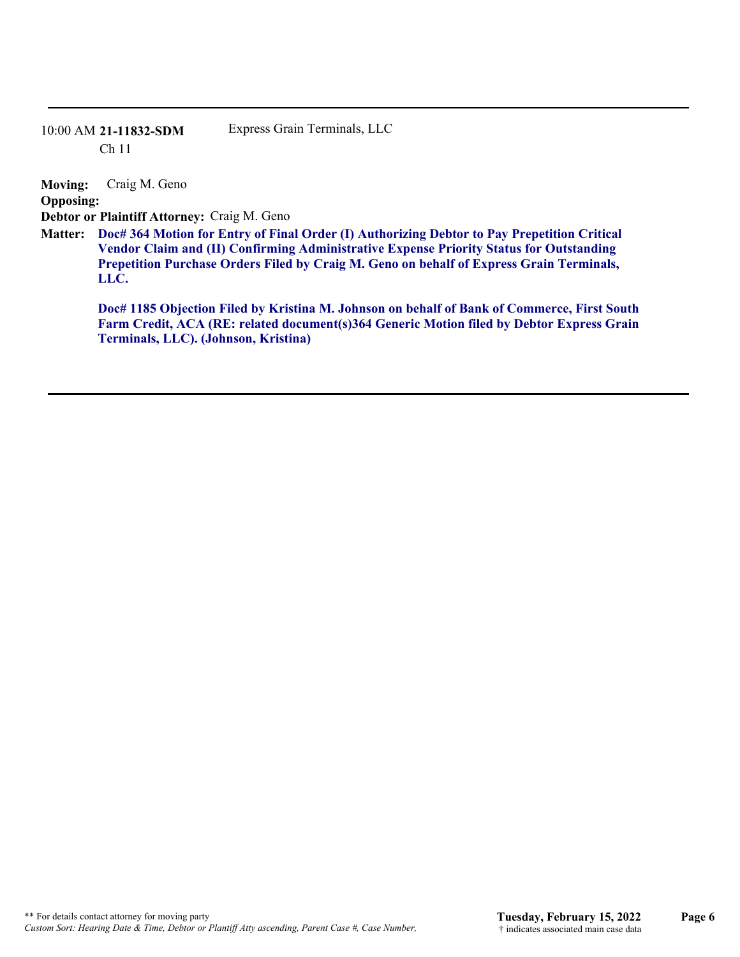### 10:00 AM **21-11832-SDM**  Ch 11

Express Grain Terminals, LLC

**Moving:** Craig M. Geno **Opposing: Debtor or Plaintiff Attorney:** Craig M. Geno **Doc# 364 Motion for Entry of Final Order (I) Authorizing Debtor to Pay Prepetition Critical Matter:**

**Vendor Claim and (II) Confirming Administrative Expense Priority Status for Outstanding Prepetition Purchase Orders Filed by Craig M. Geno on behalf of Express Grain Terminals, LLC.**

**Doc# 1185 Objection Filed by Kristina M. Johnson on behalf of Bank of Commerce, First South Farm Credit, ACA (RE: related document(s)364 Generic Motion filed by Debtor Express Grain Terminals, LLC). (Johnson, Kristina)**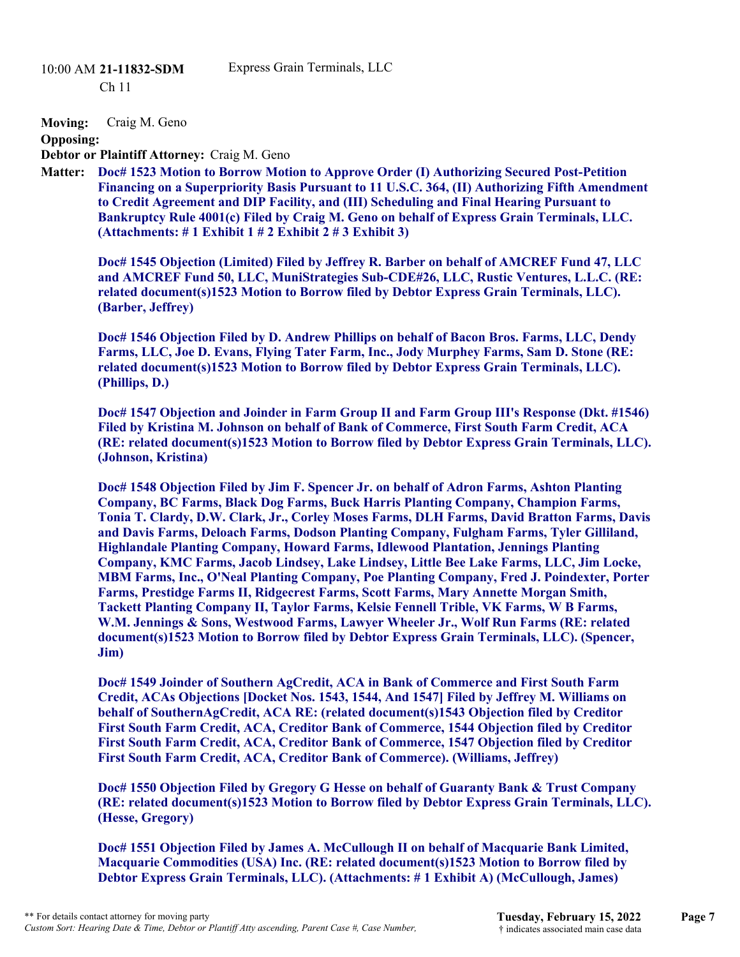# 10:00 AM **21-11832-SDM**

Ch 11

**Moving:** Craig M. Geno

**Opposing:**

**Debtor or Plaintiff Attorney:** Craig M. Geno

**Doc# 1523 Motion to Borrow Motion to Approve Order (I) Authorizing Secured Post-Petition Matter: Financing on a Superpriority Basis Pursuant to 11 U.S.C. 364, (II) Authorizing Fifth Amendment to Credit Agreement and DIP Facility, and (III) Scheduling and Final Hearing Pursuant to Bankruptcy Rule 4001(c) Filed by Craig M. Geno on behalf of Express Grain Terminals, LLC. (Attachments: # 1 Exhibit 1 # 2 Exhibit 2 # 3 Exhibit 3)**

**Doc# 1545 Objection (Limited) Filed by Jeffrey R. Barber on behalf of AMCREF Fund 47, LLC and AMCREF Fund 50, LLC, MuniStrategies Sub-CDE#26, LLC, Rustic Ventures, L.L.C. (RE: related document(s)1523 Motion to Borrow filed by Debtor Express Grain Terminals, LLC). (Barber, Jeffrey)** 

**Doc# 1546 Objection Filed by D. Andrew Phillips on behalf of Bacon Bros. Farms, LLC, Dendy Farms, LLC, Joe D. Evans, Flying Tater Farm, Inc., Jody Murphey Farms, Sam D. Stone (RE: related document(s)1523 Motion to Borrow filed by Debtor Express Grain Terminals, LLC). (Phillips, D.)** 

**Doc# 1547 Objection and Joinder in Farm Group II and Farm Group III's Response (Dkt. #1546) Filed by Kristina M. Johnson on behalf of Bank of Commerce, First South Farm Credit, ACA (RE: related document(s)1523 Motion to Borrow filed by Debtor Express Grain Terminals, LLC). (Johnson, Kristina)**

**Doc# 1548 Objection Filed by Jim F. Spencer Jr. on behalf of Adron Farms, Ashton Planting Company, BC Farms, Black Dog Farms, Buck Harris Planting Company, Champion Farms, Tonia T. Clardy, D.W. Clark, Jr., Corley Moses Farms, DLH Farms, David Bratton Farms, Davis and Davis Farms, Deloach Farms, Dodson Planting Company, Fulgham Farms, Tyler Gilliland, Highlandale Planting Company, Howard Farms, Idlewood Plantation, Jennings Planting Company, KMC Farms, Jacob Lindsey, Lake Lindsey, Little Bee Lake Farms, LLC, Jim Locke, MBM Farms, Inc., O'Neal Planting Company, Poe Planting Company, Fred J. Poindexter, Porter Farms, Prestidge Farms II, Ridgecrest Farms, Scott Farms, Mary Annette Morgan Smith, Tackett Planting Company II, Taylor Farms, Kelsie Fennell Trible, VK Farms, W B Farms, W.M. Jennings & Sons, Westwood Farms, Lawyer Wheeler Jr., Wolf Run Farms (RE: related document(s)1523 Motion to Borrow filed by Debtor Express Grain Terminals, LLC). (Spencer, Jim)**

**Doc# 1549 Joinder of Southern AgCredit, ACA in Bank of Commerce and First South Farm Credit, ACAs Objections [Docket Nos. 1543, 1544, And 1547] Filed by Jeffrey M. Williams on behalf of SouthernAgCredit, ACA RE: (related document(s)1543 Objection filed by Creditor First South Farm Credit, ACA, Creditor Bank of Commerce, 1544 Objection filed by Creditor First South Farm Credit, ACA, Creditor Bank of Commerce, 1547 Objection filed by Creditor First South Farm Credit, ACA, Creditor Bank of Commerce). (Williams, Jeffrey)**

**Doc# 1550 Objection Filed by Gregory G Hesse on behalf of Guaranty Bank & Trust Company (RE: related document(s)1523 Motion to Borrow filed by Debtor Express Grain Terminals, LLC). (Hesse, Gregory)** 

**Doc# 1551 Objection Filed by James A. McCullough II on behalf of Macquarie Bank Limited, Macquarie Commodities (USA) Inc. (RE: related document(s)1523 Motion to Borrow filed by Debtor Express Grain Terminals, LLC). (Attachments: # 1 Exhibit A) (McCullough, James)**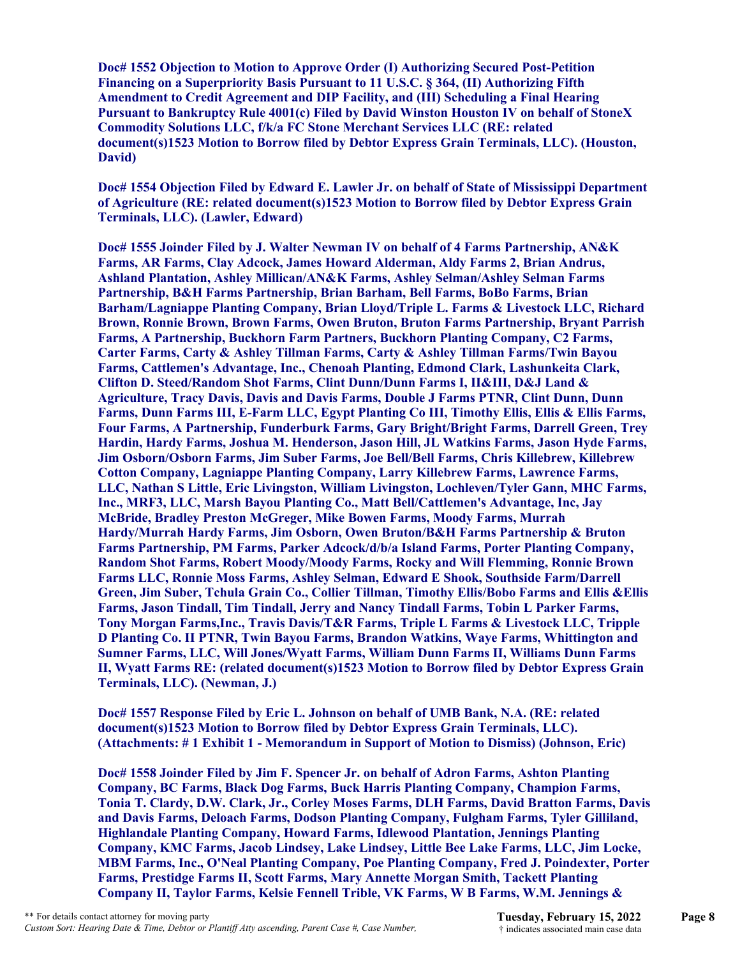**Doc# 1552 Objection to Motion to Approve Order (I) Authorizing Secured Post-Petition Financing on a Superpriority Basis Pursuant to 11 U.S.C. § 364, (II) Authorizing Fifth Amendment to Credit Agreement and DIP Facility, and (III) Scheduling a Final Hearing Pursuant to Bankruptcy Rule 4001(c) Filed by David Winston Houston IV on behalf of StoneX Commodity Solutions LLC, f/k/a FC Stone Merchant Services LLC (RE: related document(s)1523 Motion to Borrow filed by Debtor Express Grain Terminals, LLC). (Houston, David)**

**Doc# 1554 Objection Filed by Edward E. Lawler Jr. on behalf of State of Mississippi Department of Agriculture (RE: related document(s)1523 Motion to Borrow filed by Debtor Express Grain Terminals, LLC). (Lawler, Edward)**

**Doc# 1555 Joinder Filed by J. Walter Newman IV on behalf of 4 Farms Partnership, AN&K Farms, AR Farms, Clay Adcock, James Howard Alderman, Aldy Farms 2, Brian Andrus, Ashland Plantation, Ashley Millican/AN&K Farms, Ashley Selman/Ashley Selman Farms Partnership, B&H Farms Partnership, Brian Barham, Bell Farms, BoBo Farms, Brian Barham/Lagniappe Planting Company, Brian Lloyd/Triple L. Farms & Livestock LLC, Richard Brown, Ronnie Brown, Brown Farms, Owen Bruton, Bruton Farms Partnership, Bryant Parrish Farms, A Partnership, Buckhorn Farm Partners, Buckhorn Planting Company, C2 Farms, Carter Farms, Carty & Ashley Tillman Farms, Carty & Ashley Tillman Farms/Twin Bayou Farms, Cattlemen's Advantage, Inc., Chenoah Planting, Edmond Clark, Lashunkeita Clark, Clifton D. Steed/Random Shot Farms, Clint Dunn/Dunn Farms I, II&III, D&J Land & Agriculture, Tracy Davis, Davis and Davis Farms, Double J Farms PTNR, Clint Dunn, Dunn Farms, Dunn Farms III, E-Farm LLC, Egypt Planting Co III, Timothy Ellis, Ellis & Ellis Farms, Four Farms, A Partnership, Funderburk Farms, Gary Bright/Bright Farms, Darrell Green, Trey Hardin, Hardy Farms, Joshua M. Henderson, Jason Hill, JL Watkins Farms, Jason Hyde Farms, Jim Osborn/Osborn Farms, Jim Suber Farms, Joe Bell/Bell Farms, Chris Killebrew, Killebrew Cotton Company, Lagniappe Planting Company, Larry Killebrew Farms, Lawrence Farms, LLC, Nathan S Little, Eric Livingston, William Livingston, Lochleven/Tyler Gann, MHC Farms, Inc., MRF3, LLC, Marsh Bayou Planting Co., Matt Bell/Cattlemen's Advantage, Inc, Jay McBride, Bradley Preston McGreger, Mike Bowen Farms, Moody Farms, Murrah Hardy/Murrah Hardy Farms, Jim Osborn, Owen Bruton/B&H Farms Partnership & Bruton Farms Partnership, PM Farms, Parker Adcock/d/b/a Island Farms, Porter Planting Company, Random Shot Farms, Robert Moody/Moody Farms, Rocky and Will Flemming, Ronnie Brown Farms LLC, Ronnie Moss Farms, Ashley Selman, Edward E Shook, Southside Farm/Darrell Green, Jim Suber, Tchula Grain Co., Collier Tillman, Timothy Ellis/Bobo Farms and Ellis &Ellis Farms, Jason Tindall, Tim Tindall, Jerry and Nancy Tindall Farms, Tobin L Parker Farms, Tony Morgan Farms,Inc., Travis Davis/T&R Farms, Triple L Farms & Livestock LLC, Tripple D Planting Co. II PTNR, Twin Bayou Farms, Brandon Watkins, Waye Farms, Whittington and Sumner Farms, LLC, Will Jones/Wyatt Farms, William Dunn Farms II, Williams Dunn Farms II, Wyatt Farms RE: (related document(s)1523 Motion to Borrow filed by Debtor Express Grain Terminals, LLC). (Newman, J.)**

**Doc# 1557 Response Filed by Eric L. Johnson on behalf of UMB Bank, N.A. (RE: related document(s)1523 Motion to Borrow filed by Debtor Express Grain Terminals, LLC). (Attachments: # 1 Exhibit 1 - Memorandum in Support of Motion to Dismiss) (Johnson, Eric)**

**Doc# 1558 Joinder Filed by Jim F. Spencer Jr. on behalf of Adron Farms, Ashton Planting Company, BC Farms, Black Dog Farms, Buck Harris Planting Company, Champion Farms, Tonia T. Clardy, D.W. Clark, Jr., Corley Moses Farms, DLH Farms, David Bratton Farms, Davis and Davis Farms, Deloach Farms, Dodson Planting Company, Fulgham Farms, Tyler Gilliland, Highlandale Planting Company, Howard Farms, Idlewood Plantation, Jennings Planting Company, KMC Farms, Jacob Lindsey, Lake Lindsey, Little Bee Lake Farms, LLC, Jim Locke, MBM Farms, Inc., O'Neal Planting Company, Poe Planting Company, Fred J. Poindexter, Porter Farms, Prestidge Farms II, Scott Farms, Mary Annette Morgan Smith, Tackett Planting Company II, Taylor Farms, Kelsie Fennell Trible, VK Farms, W B Farms, W.M. Jennings &**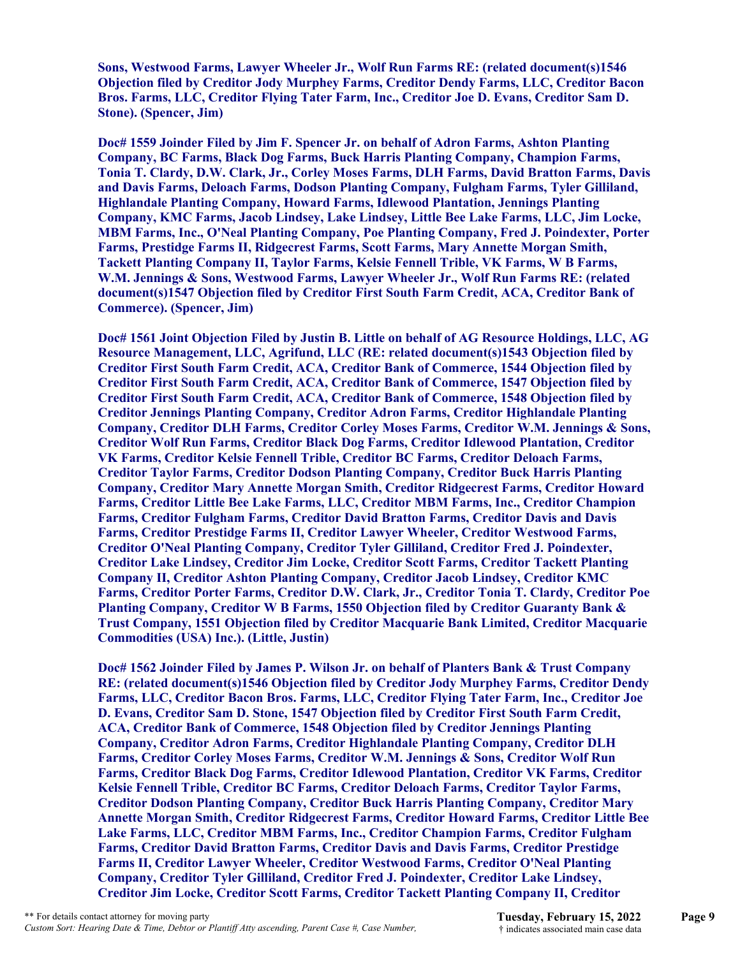**Sons, Westwood Farms, Lawyer Wheeler Jr., Wolf Run Farms RE: (related document(s)1546 Objection filed by Creditor Jody Murphey Farms, Creditor Dendy Farms, LLC, Creditor Bacon Bros. Farms, LLC, Creditor Flying Tater Farm, Inc., Creditor Joe D. Evans, Creditor Sam D. Stone). (Spencer, Jim)** 

**Doc# 1559 Joinder Filed by Jim F. Spencer Jr. on behalf of Adron Farms, Ashton Planting Company, BC Farms, Black Dog Farms, Buck Harris Planting Company, Champion Farms, Tonia T. Clardy, D.W. Clark, Jr., Corley Moses Farms, DLH Farms, David Bratton Farms, Davis and Davis Farms, Deloach Farms, Dodson Planting Company, Fulgham Farms, Tyler Gilliland, Highlandale Planting Company, Howard Farms, Idlewood Plantation, Jennings Planting Company, KMC Farms, Jacob Lindsey, Lake Lindsey, Little Bee Lake Farms, LLC, Jim Locke, MBM Farms, Inc., O'Neal Planting Company, Poe Planting Company, Fred J. Poindexter, Porter Farms, Prestidge Farms II, Ridgecrest Farms, Scott Farms, Mary Annette Morgan Smith, Tackett Planting Company II, Taylor Farms, Kelsie Fennell Trible, VK Farms, W B Farms, W.M. Jennings & Sons, Westwood Farms, Lawyer Wheeler Jr., Wolf Run Farms RE: (related document(s)1547 Objection filed by Creditor First South Farm Credit, ACA, Creditor Bank of Commerce). (Spencer, Jim)**

**Doc# 1561 Joint Objection Filed by Justin B. Little on behalf of AG Resource Holdings, LLC, AG Resource Management, LLC, Agrifund, LLC (RE: related document(s)1543 Objection filed by Creditor First South Farm Credit, ACA, Creditor Bank of Commerce, 1544 Objection filed by Creditor First South Farm Credit, ACA, Creditor Bank of Commerce, 1547 Objection filed by Creditor First South Farm Credit, ACA, Creditor Bank of Commerce, 1548 Objection filed by Creditor Jennings Planting Company, Creditor Adron Farms, Creditor Highlandale Planting Company, Creditor DLH Farms, Creditor Corley Moses Farms, Creditor W.M. Jennings & Sons, Creditor Wolf Run Farms, Creditor Black Dog Farms, Creditor Idlewood Plantation, Creditor VK Farms, Creditor Kelsie Fennell Trible, Creditor BC Farms, Creditor Deloach Farms, Creditor Taylor Farms, Creditor Dodson Planting Company, Creditor Buck Harris Planting Company, Creditor Mary Annette Morgan Smith, Creditor Ridgecrest Farms, Creditor Howard Farms, Creditor Little Bee Lake Farms, LLC, Creditor MBM Farms, Inc., Creditor Champion Farms, Creditor Fulgham Farms, Creditor David Bratton Farms, Creditor Davis and Davis Farms, Creditor Prestidge Farms II, Creditor Lawyer Wheeler, Creditor Westwood Farms, Creditor O'Neal Planting Company, Creditor Tyler Gilliland, Creditor Fred J. Poindexter, Creditor Lake Lindsey, Creditor Jim Locke, Creditor Scott Farms, Creditor Tackett Planting Company II, Creditor Ashton Planting Company, Creditor Jacob Lindsey, Creditor KMC Farms, Creditor Porter Farms, Creditor D.W. Clark, Jr., Creditor Tonia T. Clardy, Creditor Poe Planting Company, Creditor W B Farms, 1550 Objection filed by Creditor Guaranty Bank & Trust Company, 1551 Objection filed by Creditor Macquarie Bank Limited, Creditor Macquarie Commodities (USA) Inc.). (Little, Justin)**

**Doc# 1562 Joinder Filed by James P. Wilson Jr. on behalf of Planters Bank & Trust Company RE: (related document(s)1546 Objection filed by Creditor Jody Murphey Farms, Creditor Dendy Farms, LLC, Creditor Bacon Bros. Farms, LLC, Creditor Flying Tater Farm, Inc., Creditor Joe D. Evans, Creditor Sam D. Stone, 1547 Objection filed by Creditor First South Farm Credit, ACA, Creditor Bank of Commerce, 1548 Objection filed by Creditor Jennings Planting Company, Creditor Adron Farms, Creditor Highlandale Planting Company, Creditor DLH Farms, Creditor Corley Moses Farms, Creditor W.M. Jennings & Sons, Creditor Wolf Run Farms, Creditor Black Dog Farms, Creditor Idlewood Plantation, Creditor VK Farms, Creditor Kelsie Fennell Trible, Creditor BC Farms, Creditor Deloach Farms, Creditor Taylor Farms, Creditor Dodson Planting Company, Creditor Buck Harris Planting Company, Creditor Mary Annette Morgan Smith, Creditor Ridgecrest Farms, Creditor Howard Farms, Creditor Little Bee Lake Farms, LLC, Creditor MBM Farms, Inc., Creditor Champion Farms, Creditor Fulgham Farms, Creditor David Bratton Farms, Creditor Davis and Davis Farms, Creditor Prestidge Farms II, Creditor Lawyer Wheeler, Creditor Westwood Farms, Creditor O'Neal Planting Company, Creditor Tyler Gilliland, Creditor Fred J. Poindexter, Creditor Lake Lindsey, Creditor Jim Locke, Creditor Scott Farms, Creditor Tackett Planting Company II, Creditor**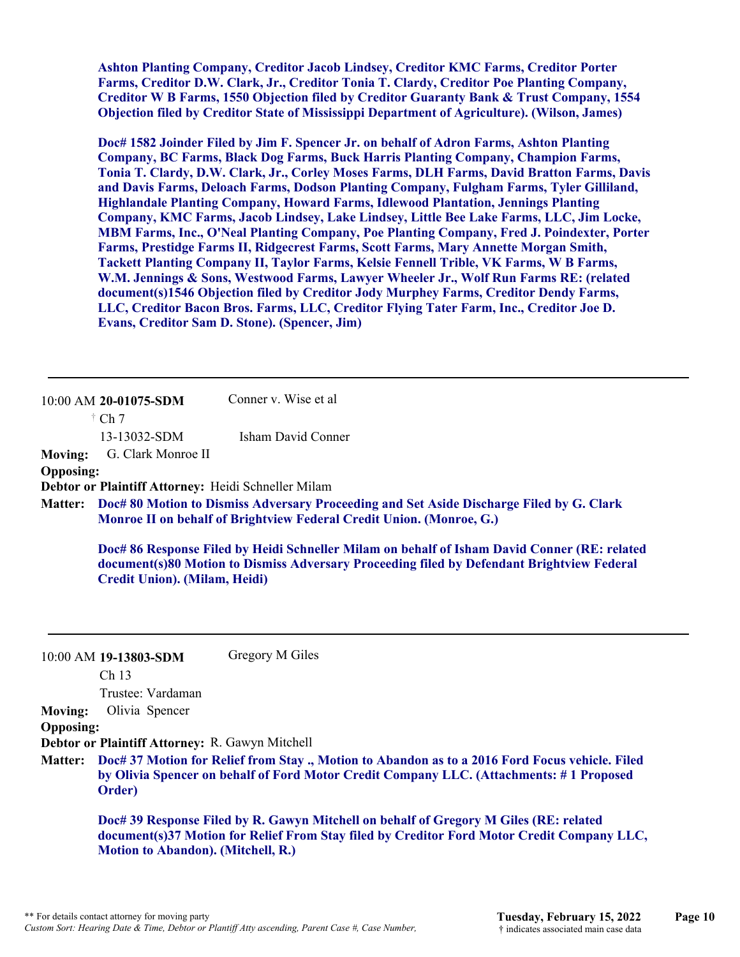**Ashton Planting Company, Creditor Jacob Lindsey, Creditor KMC Farms, Creditor Porter Farms, Creditor D.W. Clark, Jr., Creditor Tonia T. Clardy, Creditor Poe Planting Company, Creditor W B Farms, 1550 Objection filed by Creditor Guaranty Bank & Trust Company, 1554 Objection filed by Creditor State of Mississippi Department of Agriculture). (Wilson, James)**

**Doc# 1582 Joinder Filed by Jim F. Spencer Jr. on behalf of Adron Farms, Ashton Planting Company, BC Farms, Black Dog Farms, Buck Harris Planting Company, Champion Farms, Tonia T. Clardy, D.W. Clark, Jr., Corley Moses Farms, DLH Farms, David Bratton Farms, Davis and Davis Farms, Deloach Farms, Dodson Planting Company, Fulgham Farms, Tyler Gilliland, Highlandale Planting Company, Howard Farms, Idlewood Plantation, Jennings Planting Company, KMC Farms, Jacob Lindsey, Lake Lindsey, Little Bee Lake Farms, LLC, Jim Locke, MBM Farms, Inc., O'Neal Planting Company, Poe Planting Company, Fred J. Poindexter, Porter Farms, Prestidge Farms II, Ridgecrest Farms, Scott Farms, Mary Annette Morgan Smith, Tackett Planting Company II, Taylor Farms, Kelsie Fennell Trible, VK Farms, W B Farms, W.M. Jennings & Sons, Westwood Farms, Lawyer Wheeler Jr., Wolf Run Farms RE: (related document(s)1546 Objection filed by Creditor Jody Murphey Farms, Creditor Dendy Farms, LLC, Creditor Bacon Bros. Farms, LLC, Creditor Flying Tater Farm, Inc., Creditor Joe D. Evans, Creditor Sam D. Stone). (Spencer, Jim)**

10:00 AM **20-01075-SDM**   $\dagger$  Ch 7 13-13032-SDM Conner v. Wise et al Isham David Conner **Moving:** G. Clark Monroe II **Opposing: Debtor or Plaintiff Attorney:** Heidi Schneller Milam

**Doc# 80 Motion to Dismiss Adversary Proceeding and Set Aside Discharge Filed by G. Clark Matter: Monroe II on behalf of Brightview Federal Credit Union. (Monroe, G.)**

**Doc# 86 Response Filed by Heidi Schneller Milam on behalf of Isham David Conner (RE: related document(s)80 Motion to Dismiss Adversary Proceeding filed by Defendant Brightview Federal Credit Union). (Milam, Heidi)**

|                  | $10:00$ AM 19-13803-SDM                                                                                                                                                                             | Gregory M Giles                                                                                                                                                                     |  |
|------------------|-----------------------------------------------------------------------------------------------------------------------------------------------------------------------------------------------------|-------------------------------------------------------------------------------------------------------------------------------------------------------------------------------------|--|
|                  | Ch <sub>13</sub>                                                                                                                                                                                    |                                                                                                                                                                                     |  |
|                  | Trustee: Vardaman                                                                                                                                                                                   |                                                                                                                                                                                     |  |
| <b>Moving:</b>   | Olivia Spencer                                                                                                                                                                                      |                                                                                                                                                                                     |  |
| <b>Opposing:</b> |                                                                                                                                                                                                     |                                                                                                                                                                                     |  |
|                  | Debtor or Plaintiff Attorney: R. Gawyn Mitchell                                                                                                                                                     |                                                                                                                                                                                     |  |
| <b>Matter:</b>   | Doc# 37 Motion for Relief from Stay., Motion to Abandon as to a 2016 Ford Focus vehicle. Filed<br>by Olivia Spencer on behalf of Ford Motor Credit Company LLC. (Attachments: #1 Proposed<br>Order) |                                                                                                                                                                                     |  |
|                  | <b>Motion to Abandon). (Mitchell, R.)</b>                                                                                                                                                           | Doc# 39 Response Filed by R. Gawyn Mitchell on behalf of Gregory M Giles (RE: related<br>document(s)37 Motion for Relief From Stay filed by Creditor Ford Motor Credit Company LLC, |  |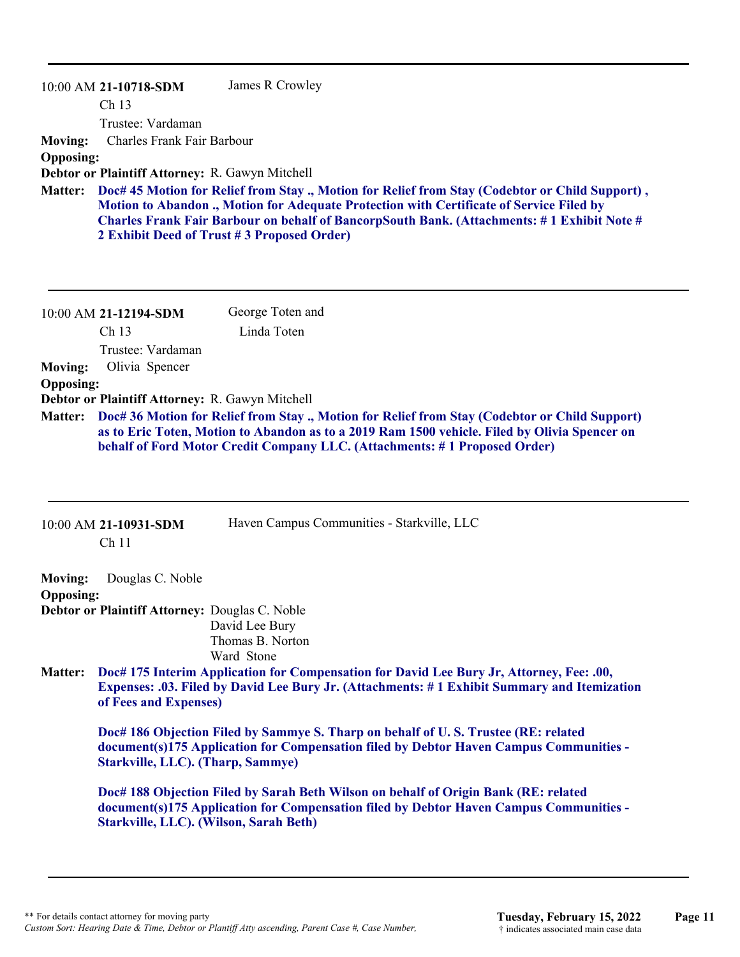|                  | $10:00$ AM 21-10718-SDM                         | James R Crowley                                                                                                                                                                                                                                                                                                                                |
|------------------|-------------------------------------------------|------------------------------------------------------------------------------------------------------------------------------------------------------------------------------------------------------------------------------------------------------------------------------------------------------------------------------------------------|
|                  | Ch <sub>13</sub>                                |                                                                                                                                                                                                                                                                                                                                                |
|                  | Trustee: Vardaman                               |                                                                                                                                                                                                                                                                                                                                                |
| <b>Moving:</b>   | Charles Frank Fair Barbour                      |                                                                                                                                                                                                                                                                                                                                                |
| <b>Opposing:</b> |                                                 |                                                                                                                                                                                                                                                                                                                                                |
|                  | Debtor or Plaintiff Attorney: R. Gawyn Mitchell |                                                                                                                                                                                                                                                                                                                                                |
| <b>Matter:</b>   |                                                 | Doc# 45 Motion for Relief from Stay ., Motion for Relief from Stay (Codebtor or Child Support),<br><b>Motion to Abandon ., Motion for Adequate Protection with Certificate of Service Filed by</b><br>Charles Frank Fair Barbour on behalf of BancorpSouth Bank. (Attachments: #1 Exhibit Note #<br>2 Exhibit Deed of Trust #3 Proposed Order) |

|                  | 10:00 AM 21-12194-SDM                                                                                                                                                                                                                                                        | George Toten and |  |
|------------------|------------------------------------------------------------------------------------------------------------------------------------------------------------------------------------------------------------------------------------------------------------------------------|------------------|--|
|                  | Ch <sub>13</sub>                                                                                                                                                                                                                                                             | Linda Toten      |  |
|                  | Trustee: Vardaman                                                                                                                                                                                                                                                            |                  |  |
| <b>Moving:</b>   | Olivia Spencer                                                                                                                                                                                                                                                               |                  |  |
| <b>Opposing:</b> |                                                                                                                                                                                                                                                                              |                  |  |
|                  | Debtor or Plaintiff Attorney: R. Gawyn Mitchell                                                                                                                                                                                                                              |                  |  |
| <b>Matter:</b>   | Doc# 36 Motion for Relief from Stay ., Motion for Relief from Stay (Codebtor or Child Support)<br>as to Eric Toten, Motion to Abandon as to a 2019 Ram 1500 vehicle. Filed by Olivia Spencer on<br>behalf of Ford Motor Credit Company LLC. (Attachments: #1 Proposed Order) |                  |  |

|                  | 10:00 AM 21-10931-SDM<br>Ch <sub>11</sub>                                                                                                                                                                         | Haven Campus Communities - Starkville, LLC                                          |  |
|------------------|-------------------------------------------------------------------------------------------------------------------------------------------------------------------------------------------------------------------|-------------------------------------------------------------------------------------|--|
| <b>Moving:</b>   | Douglas C. Noble                                                                                                                                                                                                  |                                                                                     |  |
| <b>Opposing:</b> |                                                                                                                                                                                                                   |                                                                                     |  |
|                  | Debtor or Plaintiff Attorney: Douglas C. Noble                                                                                                                                                                    |                                                                                     |  |
|                  |                                                                                                                                                                                                                   | David Lee Bury                                                                      |  |
|                  |                                                                                                                                                                                                                   | Thomas B. Norton                                                                    |  |
|                  |                                                                                                                                                                                                                   | Ward Stone                                                                          |  |
| <b>Matter:</b>   | Doc# 175 Interim Application for Compensation for David Lee Bury Jr, Attorney, Fee: .00,<br>Expenses: .03. Filed by David Lee Bury Jr. (Attachments: #1 Exhibit Summary and Itemization<br>of Fees and Expenses)  |                                                                                     |  |
|                  | Doc# 186 Objection Filed by Sammye S. Tharp on behalf of U.S. Trustee (RE: related<br>document(s)175 Application for Compensation filed by Debtor Haven Campus Communities -<br>Starkville, LLC). (Tharp, Sammye) |                                                                                     |  |
|                  |                                                                                                                                                                                                                   | Doc# 188 Objection Filed by Sarah Beth Wilson on behalf of Origin Bank (RE: related |  |

**document(s)175 Application for Compensation filed by Debtor Haven Campus Communities - Starkville, LLC). (Wilson, Sarah Beth)**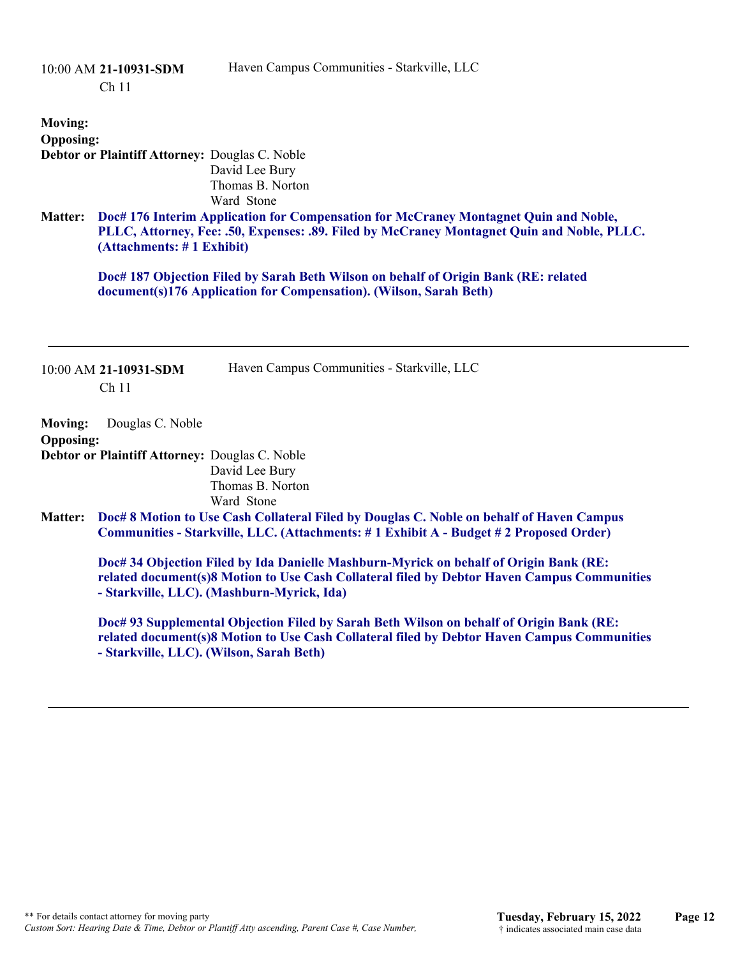|                                    | 10:00 AM 21-10931-SDM<br>Ch <sub>11</sub>                          | Haven Campus Communities - Starkville, LLC                                                                                                                                                                                         |
|------------------------------------|--------------------------------------------------------------------|------------------------------------------------------------------------------------------------------------------------------------------------------------------------------------------------------------------------------------|
| <b>Moving:</b><br><b>Opposing:</b> | Debtor or Plaintiff Attorney: Douglas C. Noble                     | David Lee Bury<br>Thomas B. Norton<br>Ward Stone                                                                                                                                                                                   |
| <b>Matter:</b>                     | (Attachments: #1 Exhibit)                                          | Doc# 176 Interim Application for Compensation for McCraney Montagnet Quin and Noble,<br>PLLC, Attorney, Fee: .50, Expenses: .89. Filed by McCraney Montagnet Quin and Noble, PLLC.                                                 |
|                                    |                                                                    | Doc# 187 Objection Filed by Sarah Beth Wilson on behalf of Origin Bank (RE: related<br>document(s)176 Application for Compensation). (Wilson, Sarah Beth)                                                                          |
|                                    | 10:00 AM 21-10931-SDM<br>Ch <sub>11</sub>                          | Haven Campus Communities - Starkville, LLC                                                                                                                                                                                         |
| <b>Moving:</b><br><b>Opposing:</b> | Douglas C. Noble<br>Debtor or Plaintiff Attorney: Douglas C. Noble | David Lee Bury<br>Thomas B. Norton<br>Ward Stone                                                                                                                                                                                   |
| <b>Matter:</b>                     |                                                                    | Doc# 8 Motion to Use Cash Collateral Filed by Douglas C. Noble on behalf of Haven Campus<br>Communities - Starkville, LLC. (Attachments: #1 Exhibit A - Budget #2 Proposed Order)                                                  |
|                                    |                                                                    | Doc# 34 Objection Filed by Ida Danielle Mashburn-Myrick on behalf of Origin Bank (RE:<br>related document(s)8 Motion to Use Cash Collateral filed by Debtor Haven Campus Communities<br>- Starkville, LLC). (Mashburn-Myrick, Ida) |
|                                    | - Starkville, LLC). (Wilson, Sarah Beth)                           | Doc# 93 Supplemental Objection Filed by Sarah Beth Wilson on behalf of Origin Bank (RE:<br>related document(s)8 Motion to Use Cash Collateral filed by Debtor Haven Campus Communities                                             |